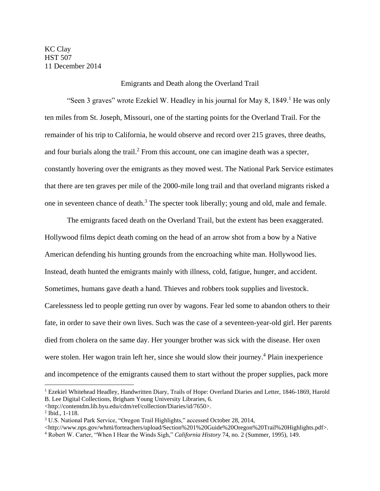## Emigrants and Death along the Overland Trail

"Seen 3 graves" wrote Ezekiel W. Headley in his journal for May 8, 1849.<sup>1</sup> He was only ten miles from St. Joseph, Missouri, one of the starting points for the Overland Trail. For the remainder of his trip to California, he would observe and record over 215 graves, three deaths, and four burials along the trail.<sup>2</sup> From this account, one can imagine death was a specter, constantly hovering over the emigrants as they moved west. The National Park Service estimates that there are ten graves per mile of the 2000-mile long trail and that overland migrants risked a one in seventeen chance of death.<sup>3</sup> The specter took liberally; young and old, male and female.

The emigrants faced death on the Overland Trail, but the extent has been exaggerated. Hollywood films depict death coming on the head of an arrow shot from a bow by a Native American defending his hunting grounds from the encroaching white man. Hollywood lies. Instead, death hunted the emigrants mainly with illness, cold, fatigue, hunger, and accident. Sometimes, humans gave death a hand. Thieves and robbers took supplies and livestock. Carelessness led to people getting run over by wagons. Fear led some to abandon others to their fate, in order to save their own lives. Such was the case of a seventeen-year-old girl. Her parents died from cholera on the same day. Her younger brother was sick with the disease. Her oxen were stolen. Her wagon train left her, since she would slow their journey.<sup>4</sup> Plain inexperience and incompetence of the emigrants caused them to start without the proper supplies, pack more

<sup>&</sup>lt;sup>1</sup> Ezekiel Whitehead Headley, Handwritten Diary, Trails of Hope: Overland Diaries and Letter, 1846-1869, Harold B. Lee Digital Collections, Brigham Young University Libraries, 6.

<sup>&</sup>lt;http://contentdm.lib.byu.edu/cdm/ref/collection/Diaries/id/7650>.

<sup>2</sup> Ibid., 1-118.

<sup>3</sup> U.S. National Park Service, "Oregon Trail Highlights," accessed October 28, 2014,

<sup>&</sup>lt;http://www.nps.gov/whmi/forteachers/upload/Section%201%20Guide%20Oregon%20Trail%20Highlights.pdf>.

<sup>4</sup> Robert W. Carter, "When I Hear the Winds Sigh," *California History* 74, no. 2 (Summer, 1995), 149.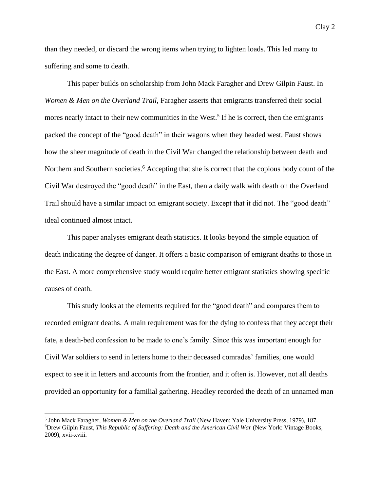than they needed, or discard the wrong items when trying to lighten loads. This led many to suffering and some to death.

This paper builds on scholarship from John Mack Faragher and Drew Gilpin Faust. In *Women & Men on the Overland Trail*, Faragher asserts that emigrants transferred their social mores nearly intact to their new communities in the West.<sup>5</sup> If he is correct, then the emigrants packed the concept of the "good death" in their wagons when they headed west. Faust shows how the sheer magnitude of death in the Civil War changed the relationship between death and Northern and Southern societies.<sup>6</sup> Accepting that she is correct that the copious body count of the Civil War destroyed the "good death" in the East, then a daily walk with death on the Overland Trail should have a similar impact on emigrant society. Except that it did not. The "good death" ideal continued almost intact.

This paper analyses emigrant death statistics. It looks beyond the simple equation of death indicating the degree of danger. It offers a basic comparison of emigrant deaths to those in the East. A more comprehensive study would require better emigrant statistics showing specific causes of death.

This study looks at the elements required for the "good death" and compares them to recorded emigrant deaths. A main requirement was for the dying to confess that they accept their fate, a death-bed confession to be made to one's family. Since this was important enough for Civil War soldiers to send in letters home to their deceased comrades' families, one would expect to see it in letters and accounts from the frontier, and it often is. However, not all deaths provided an opportunity for a familial gathering. Headley recorded the death of an unnamed man

<sup>5</sup> John Mack Faragher, *Women & Men on the Overland Trail* (New Haven: Yale University Press, 1979), 187. <sup>6</sup>Drew Gilpin Faust, *This Republic of Suffering: Death and the American Civil War* (New York: Vintage Books, 2009), xvii-xviii.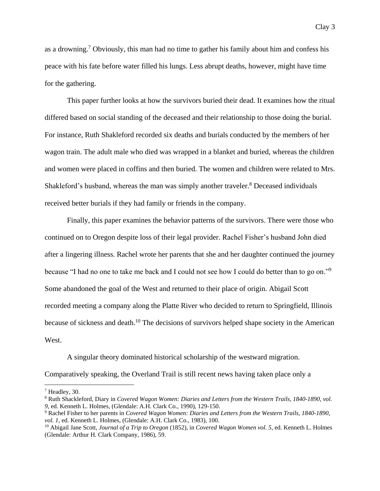as a drowning.<sup>7</sup> Obviously, this man had no time to gather his family about him and confess his peace with his fate before water filled his lungs. Less abrupt deaths, however, might have time for the gathering.

This paper further looks at how the survivors buried their dead. It examines how the ritual differed based on social standing of the deceased and their relationship to those doing the burial. For instance, Ruth Shakleford recorded six deaths and burials conducted by the members of her wagon train. The adult male who died was wrapped in a blanket and buried, whereas the children and women were placed in coffins and then buried. The women and children were related to Mrs. Shakleford's husband, whereas the man was simply another traveler.<sup>8</sup> Deceased individuals received better burials if they had family or friends in the company.

Finally, this paper examines the behavior patterns of the survivors. There were those who continued on to Oregon despite loss of their legal provider. Rachel Fisher's husband John died after a lingering illness. Rachel wrote her parents that she and her daughter continued the journey because "I had no one to take me back and I could not see how I could do better than to go on."<sup>9</sup> Some abandoned the goal of the West and returned to their place of origin. Abigail Scott recorded meeting a company along the Platte River who decided to return to Springfield, Illinois because of sickness and death.<sup>10</sup> The decisions of survivors helped shape society in the American West.

A singular theory dominated historical scholarship of the westward migration.

Comparatively speaking, the Overland Trail is still recent news having taken place only a

<sup>7</sup> Headley, 30.

<sup>8</sup> Ruth Shackleford, Diary in *Covered Wagon Women: Diaries and Letters from the Western Trails, 1840-1890, vol. 9*, ed. Kenneth L. Holmes, (Glendale: A.H. Clark Co., 1990), 129-150.

<sup>9</sup> Rachel Fisher to her parents in *Covered Wagon Women: Diaries and Letters from the Western Trails, 1840-1890, vol. 1*, ed. Kenneth L. Holmes, (Glendale: A.H. Clark Co., 1983), 100.

<sup>10</sup> Abigail Jane Scott, *Journal of a Trip to Oregon* (1852), in *Covered Wagon Women vol. 5*, ed. Kenneth L. Holmes (Glendale: Arthur H. Clark Company, 1986), 59.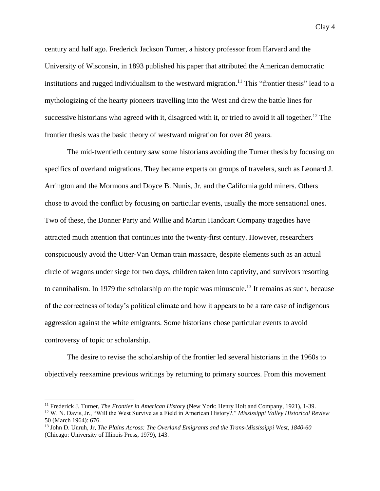century and half ago. Frederick Jackson Turner, a history professor from Harvard and the University of Wisconsin, in 1893 published his paper that attributed the American democratic institutions and rugged individualism to the westward migration.<sup>11</sup> This "frontier thesis" lead to a mythologizing of the hearty pioneers travelling into the West and drew the battle lines for successive historians who agreed with it, disagreed with it, or tried to avoid it all together.<sup>12</sup> The frontier thesis was the basic theory of westward migration for over 80 years.

The mid-twentieth century saw some historians avoiding the Turner thesis by focusing on specifics of overland migrations. They became experts on groups of travelers, such as Leonard J. Arrington and the Mormons and Doyce B. Nunis, Jr. and the California gold miners. Others chose to avoid the conflict by focusing on particular events, usually the more sensational ones. Two of these, the Donner Party and Willie and Martin Handcart Company tragedies have attracted much attention that continues into the twenty-first century. However, researchers conspicuously avoid the Utter-Van Orman train massacre, despite elements such as an actual circle of wagons under siege for two days, children taken into captivity, and survivors resorting to cannibalism. In 1979 the scholarship on the topic was minuscule.<sup>13</sup> It remains as such, because of the correctness of today's political climate and how it appears to be a rare case of indigenous aggression against the white emigrants. Some historians chose particular events to avoid controversy of topic or scholarship.

The desire to revise the scholarship of the frontier led several historians in the 1960s to objectively reexamine previous writings by returning to primary sources. From this movement

<sup>11</sup> Frederick J. Turner, *The Frontier in American History* (New York: Henry Holt and Company, 1921), 1-39. <sup>12</sup> W. N. Davis, Jr., "Will the West Survive as a Field in American History?," *Mississippi Valley Historical Review* 50 (March 1964): 676.

<sup>13</sup> John D. Unruh, Jr, *The Plains Across: The Overland Emigrants and the Trans-Mississippi West, 1840-60* (Chicago: University of Illinois Press, 1979), 143.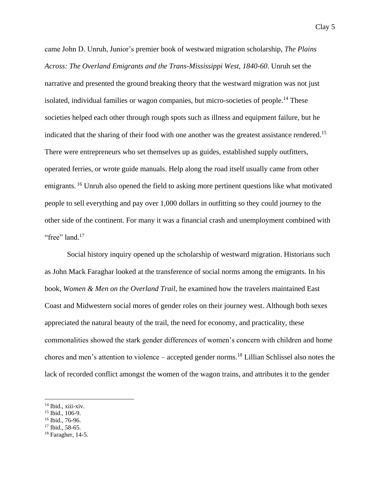came John D. Unruh, Junior's premier book of westward migration scholarship, *The Plains Across: The Overland Emigrants and the Trans-Mississippi West, 1840-60*. Unruh set the narrative and presented the ground breaking theory that the westward migration was not just isolated, individual families or wagon companies, but micro-societies of people. <sup>14</sup> These societies helped each other through rough spots such as illness and equipment failure, but he indicated that the sharing of their food with one another was the greatest assistance rendered.<sup>15</sup> There were entrepreneurs who set themselves up as guides, established supply outfitters, operated ferries, or wrote guide manuals. Help along the road itself usually came from other emigrants. <sup>16</sup> Unruh also opened the field to asking more pertinent questions like what motivated people to sell everything and pay over 1,000 dollars in outfitting so they could journey to the other side of the continent. For many it was a financial crash and unemployment combined with "free" land.<sup>17</sup>

Social history inquiry opened up the scholarship of westward migration. Historians such as John Mack Faraghar looked at the transference of social norms among the emigrants. In his book, *Women & Men on the Overland Trail*, he examined how the travelers maintained East Coast and Midwestern social mores of gender roles on their journey west. Although both sexes appreciated the natural beauty of the trail, the need for economy, and practicality, these commonalities showed the stark gender differences of women's concern with children and home chores and men's attention to violence – accepted gender norms.<sup>18</sup> Lillian Schlissel also notes the lack of recorded conflict amongst the women of the wagon trains, and attributes it to the gender

<sup>14</sup> Ibid., xiii-xiv.

<sup>15</sup> Ibid., 106-9.

<sup>&</sup>lt;sup>16</sup> Ibid., 76-96.

<sup>&</sup>lt;sup>17</sup> Ibid., 58-65.

<sup>18</sup> Faragher, 14-5.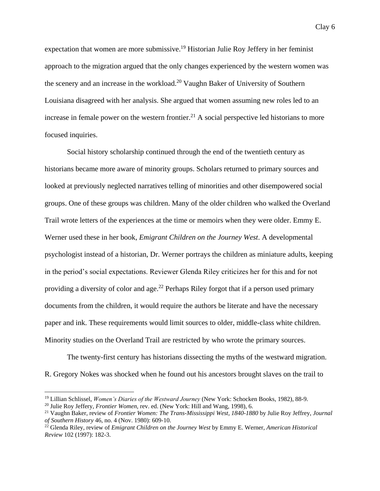expectation that women are more submissive. <sup>19</sup> Historian Julie Roy Jeffery in her feminist approach to the migration argued that the only changes experienced by the western women was the scenery and an increase in the workload.<sup>20</sup> Vaughn Baker of University of Southern Louisiana disagreed with her analysis. She argued that women assuming new roles led to an increase in female power on the western frontier.<sup>21</sup> A social perspective led historians to more focused inquiries.

Social history scholarship continued through the end of the twentieth century as historians became more aware of minority groups. Scholars returned to primary sources and looked at previously neglected narratives telling of minorities and other disempowered social groups. One of these groups was children. Many of the older children who walked the Overland Trail wrote letters of the experiences at the time or memoirs when they were older. Emmy E. Werner used these in her book, *Emigrant Children on the Journey West*. A developmental psychologist instead of a historian, Dr. Werner portrays the children as miniature adults, keeping in the period's social expectations. Reviewer Glenda Riley criticizes her for this and for not providing a diversity of color and age.<sup>22</sup> Perhaps Riley forgot that if a person used primary documents from the children, it would require the authors be literate and have the necessary paper and ink. These requirements would limit sources to older, middle-class white children. Minority studies on the Overland Trail are restricted by who wrote the primary sources.

The twenty-first century has historians dissecting the myths of the westward migration. R. Gregory Nokes was shocked when he found out his ancestors brought slaves on the trail to

<sup>19</sup> Lillian Schlissel, *Women's Diaries of the Westward Journey* (New York: Schocken Books, 1982), 88-9.

<sup>20</sup> Julie Roy Jeffery, *Frontier Women*, rev. ed. (New York: Hill and Wang, 1998), 6.

<sup>21</sup> Vaughn Baker, review of *Frontier Women: The Trans-Mississippi West, 1840-1880* by Julie Roy Jeffrey*, Journal of Southern History* 46, no. 4 (Nov. 1980): 609-10.

<sup>22</sup> Glenda Riley, review of *Emigrant Children on the Journey West* by Emmy E. Werner, *American Historical Review* 102 (1997): 182-3.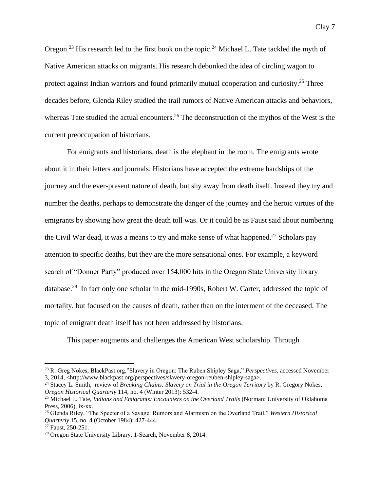Oregon.<sup>23</sup> His research led to the first book on the topic.<sup>24</sup> Michael L. Tate tackled the myth of Native American attacks on migrants. His research debunked the idea of circling wagon to protect against Indian warriors and found primarily mutual cooperation and curiosity.<sup>25</sup> Three decades before, Glenda Riley studied the trail rumors of Native American attacks and behaviors, whereas Tate studied the actual encounters.<sup>26</sup> The deconstruction of the mythos of the West is the current preoccupation of historians.

For emigrants and historians, death is the elephant in the room. The emigrants wrote about it in their letters and journals. Historians have accepted the extreme hardships of the journey and the ever-present nature of death, but shy away from death itself. Instead they try and number the deaths, perhaps to demonstrate the danger of the journey and the heroic virtues of the emigrants by showing how great the death toll was. Or it could be as Faust said about numbering the Civil War dead, it was a means to try and make sense of what happened.<sup>27</sup> Scholars pay attention to specific deaths, but they are the more sensational ones. For example, a keyword search of "Donner Party" produced over 154,000 hits in the Oregon State University library database.<sup>28</sup> In fact only one scholar in the mid-1990s, Robert W. Carter, addressed the topic of mortality, but focused on the causes of death, rather than on the interment of the deceased. The topic of emigrant death itself has not been addressed by historians.

This paper augments and challenges the American West scholarship. Through

<sup>23</sup> R. Greg Nokes, BlackPast.org,"Slavery in Oregon: The Ruben Shipley Saga," *Perspectives*, accessed November 3, 2014, <http://www.blackpast.org/perspectives/slavery-oregon-reuben-shipley-saga>.

<sup>24</sup> Stacey L. Smith, review of *Breaking Chains: Slavery on Trial in the Oregon Territory* by R. Gregory Nokes*, Oregon Historical Quarterly* 114, no. 4 (Winter 2013): 532-4.

<sup>&</sup>lt;sup>25</sup> Michael L. Tate, *Indians and Emigrants: Encounters on the Overland Trails* (Norman: University of Oklahoma Press, 2006), ix-xx.

<sup>26</sup> Glenda Riley, "The Specter of a Savage: Rumors and Alarmism on the Overland Trail," *Western Historical Quarterly* 15, no. 4 (October 1984): 427-444.

<sup>&</sup>lt;sup>27</sup> Faust, 250-251.

<sup>28</sup> Oregon State University Library, 1-Search, November 8, 2014.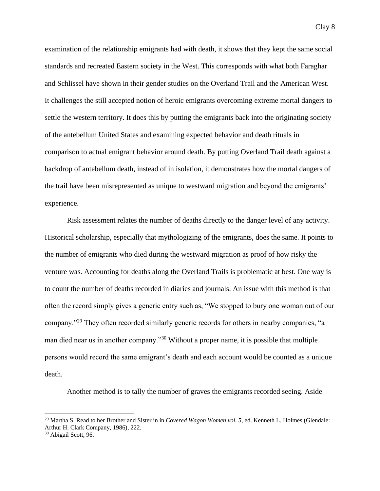examination of the relationship emigrants had with death, it shows that they kept the same social standards and recreated Eastern society in the West. This corresponds with what both Faraghar and Schlissel have shown in their gender studies on the Overland Trail and the American West. It challenges the still accepted notion of heroic emigrants overcoming extreme mortal dangers to settle the western territory. It does this by putting the emigrants back into the originating society of the antebellum United States and examining expected behavior and death rituals in comparison to actual emigrant behavior around death. By putting Overland Trail death against a backdrop of antebellum death, instead of in isolation, it demonstrates how the mortal dangers of the trail have been misrepresented as unique to westward migration and beyond the emigrants' experience.

Risk assessment relates the number of deaths directly to the danger level of any activity. Historical scholarship, especially that mythologizing of the emigrants, does the same. It points to the number of emigrants who died during the westward migration as proof of how risky the venture was. Accounting for deaths along the Overland Trails is problematic at best. One way is to count the number of deaths recorded in diaries and journals. An issue with this method is that often the record simply gives a generic entry such as, "We stopped to bury one woman out of our company."<sup>29</sup> They often recorded similarly generic records for others in nearby companies, "a man died near us in another company."<sup>30</sup> Without a proper name, it is possible that multiple persons would record the same emigrant's death and each account would be counted as a unique death.

Another method is to tally the number of graves the emigrants recorded seeing. Aside

<sup>29</sup> Martha S. Read to her Brother and Sister in in *Covered Wagon Women vol. 5*, ed. Kenneth L. Holmes (Glendale: Arthur H. Clark Company, 1986), 222.

<sup>30</sup> Abigail Scott, 96.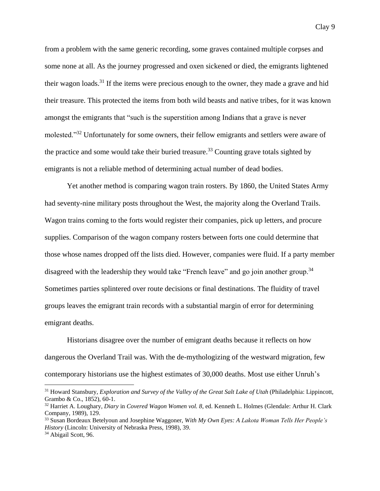from a problem with the same generic recording, some graves contained multiple corpses and some none at all. As the journey progressed and oxen sickened or died, the emigrants lightened their wagon loads.<sup>31</sup> If the items were precious enough to the owner, they made a grave and hid their treasure. This protected the items from both wild beasts and native tribes, for it was known amongst the emigrants that "such is the superstition among Indians that a grave is never molested."<sup>32</sup> Unfortunately for some owners, their fellow emigrants and settlers were aware of the practice and some would take their buried treasure.<sup>33</sup> Counting grave totals sighted by emigrants is not a reliable method of determining actual number of dead bodies.

Yet another method is comparing wagon train rosters. By 1860, the United States Army had seventy-nine military posts throughout the West, the majority along the Overland Trails. Wagon trains coming to the forts would register their companies, pick up letters, and procure supplies. Comparison of the wagon company rosters between forts one could determine that those whose names dropped off the lists died. However, companies were fluid. If a party member disagreed with the leadership they would take "French leave" and go join another group.<sup>34</sup> Sometimes parties splintered over route decisions or final destinations. The fluidity of travel groups leaves the emigrant train records with a substantial margin of error for determining emigrant deaths.

Historians disagree over the number of emigrant deaths because it reflects on how dangerous the Overland Trail was. With the de-mythologizing of the westward migration, few contemporary historians use the highest estimates of 30,000 deaths. Most use either Unruh's

<sup>31</sup> Howard Stansbury, *Exploration and Survey of the Valley of the Great Salt Lake of Utah* (Philadelphia: Lippincott, Grambo & Co., 1852), 60-1.

<sup>32</sup> Harriet A. Loughary, *Diary* in *Covered Wagon Women vol. 8*, ed. Kenneth L. Holmes (Glendale: Arthur H. Clark Company, 1989), 129.

<sup>33</sup> Susan Bordeaux Betelyoun and Josephine Waggoner, *With My Own Eyes: A Lakota Woman Tells Her People's History* (Lincoln: University of Nebraska Press, 1998), 39.

<sup>&</sup>lt;sup>34</sup> Abigail Scott, 96.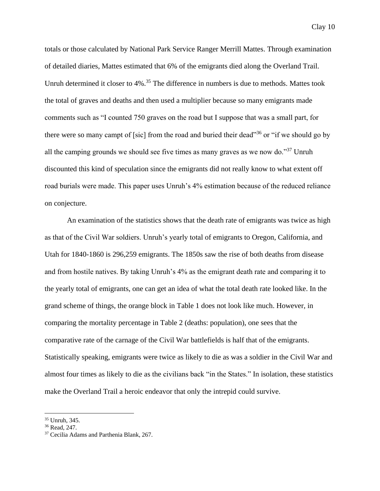totals or those calculated by National Park Service Ranger Merrill Mattes. Through examination of detailed diaries, Mattes estimated that 6% of the emigrants died along the Overland Trail. Unruh determined it closer to  $4\%$ .<sup>35</sup> The difference in numbers is due to methods. Mattes took the total of graves and deaths and then used a multiplier because so many emigrants made comments such as "I counted 750 graves on the road but I suppose that was a small part, for there were so many campt of [sic] from the road and buried their dead"<sup>36</sup> or "if we should go by all the camping grounds we should see five times as many graves as we now do."<sup>37</sup> Unruh discounted this kind of speculation since the emigrants did not really know to what extent off road burials were made. This paper uses Unruh's 4% estimation because of the reduced reliance on conjecture.

An examination of the statistics shows that the death rate of emigrants was twice as high as that of the Civil War soldiers. Unruh's yearly total of emigrants to Oregon, California, and Utah for 1840-1860 is 296,259 emigrants. The 1850s saw the rise of both deaths from disease and from hostile natives. By taking Unruh's 4% as the emigrant death rate and comparing it to the yearly total of emigrants, one can get an idea of what the total death rate looked like. In the grand scheme of things, the orange block in Table 1 does not look like much. However, in comparing the mortality percentage in Table 2 (deaths: population), one sees that the comparative rate of the carnage of the Civil War battlefields is half that of the emigrants. Statistically speaking, emigrants were twice as likely to die as was a soldier in the Civil War and almost four times as likely to die as the civilians back "in the States." In isolation, these statistics make the Overland Trail a heroic endeavor that only the intrepid could survive.

 $\overline{\phantom{a}}$ <sup>35</sup> Unruh, 345.

<sup>36</sup> Read, 247.

<sup>&</sup>lt;sup>37</sup> Cecilia Adams and Parthenia Blank, 267.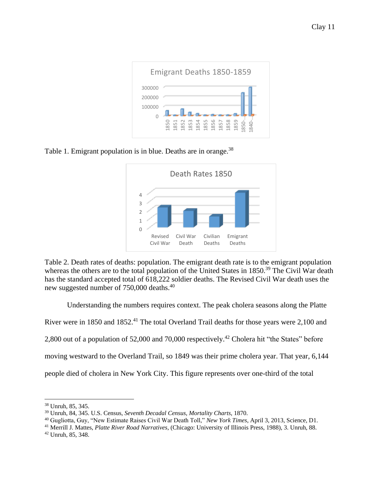

Table 1. Emigrant population is in blue. Deaths are in orange.<sup>38</sup>



Table 2. Death rates of deaths: population. The emigrant death rate is to the emigrant population whereas the others are to the total population of the United States in 1850.<sup>39</sup> The Civil War death has the standard accepted total of 618,222 soldier deaths. The Revised Civil War death uses the new suggested number of 750,000 deaths.<sup>40</sup>

Understanding the numbers requires context. The peak cholera seasons along the Platte River were in 1850 and 1852.<sup>41</sup> The total Overland Trail deaths for those years were 2,100 and 2,800 out of a population of 52,000 and 70,000 respectively.<sup>42</sup> Cholera hit "the States" before moving westward to the Overland Trail, so 1849 was their prime cholera year. That year, 6,144 people died of cholera in New York City. This figure represents over one-third of the total

<sup>38</sup> Unruh, 85, 345.

<sup>39</sup> Unruh, 84, 345. U.S. Census, *Seventh Decadal Census, Mortality Charts*, 1870.

<sup>40</sup> Gugliotta, Guy, "New Estimate Raises Civil War Death Toll," *New York Times*, April 3, 2013, Science, D1.

<sup>41</sup> Merrill J. Mattes, *Platte River Road Narratives*, (Chicago: University of Illinois Press, 1988), 3. Unruh, 88.

<sup>42</sup> Unruh, 85, 348.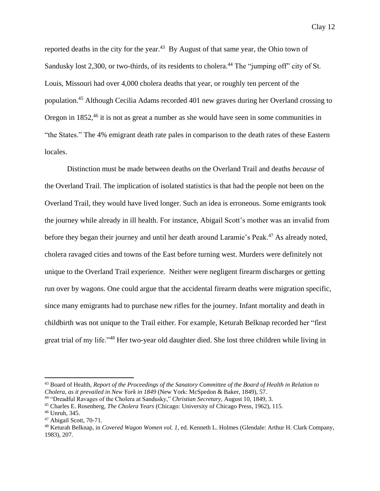reported deaths in the city for the year. $43$  By August of that same year, the Ohio town of Sandusky lost 2,300, or two-thirds, of its residents to cholera.<sup>44</sup> The "jumping off" city of St. Louis, Missouri had over 4,000 cholera deaths that year, or roughly ten percent of the population.<sup>45</sup> Although Cecilia Adams recorded 401 new graves during her Overland crossing to Oregon in 1852<sup>46</sup> it is not as great a number as she would have seen in some communities in "the States." The 4% emigrant death rate pales in comparison to the death rates of these Eastern locales.

Distinction must be made between deaths *on* the Overland Trail and deaths *because* of the Overland Trail. The implication of isolated statistics is that had the people not been on the Overland Trail, they would have lived longer. Such an idea is erroneous. Some emigrants took the journey while already in ill health. For instance, Abigail Scott's mother was an invalid from before they began their journey and until her death around Laramie's Peak.<sup>47</sup> As already noted, cholera ravaged cities and towns of the East before turning west. Murders were definitely not unique to the Overland Trail experience. Neither were negligent firearm discharges or getting run over by wagons. One could argue that the accidental firearm deaths were migration specific, since many emigrants had to purchase new rifles for the journey. Infant mortality and death in childbirth was not unique to the Trail either. For example, Keturah Belknap recorded her "first great trial of my life."<sup>48</sup> Her two-year old daughter died. She lost three children while living in

<sup>43</sup> Board of Health, *Report of the Proceedings of the Sanatory Committee of the Board of Health in Relation to Cholera, as it prevailed in New York in 1849* (New York: McSpedon & Baker, 1849), 57.

<sup>44</sup> "Dreadful Ravages of the Cholera at Sandusky," *Christian Secretary*, August 10, 1849, 3.

<sup>45</sup> Charles E. Rosenberg, *The Cholera Years* (Chicago: University of Chicago Press, 1962), 115.

<sup>46</sup> Unruh, 345.

<sup>47</sup> Abigail Scott, 70-71.

<sup>48</sup> Keturah Belknap, in *Covered Wagon Women vol. 1*, ed. Kenneth L. Holmes (Glendale: Arthur H. Clark Company, 1983), 207.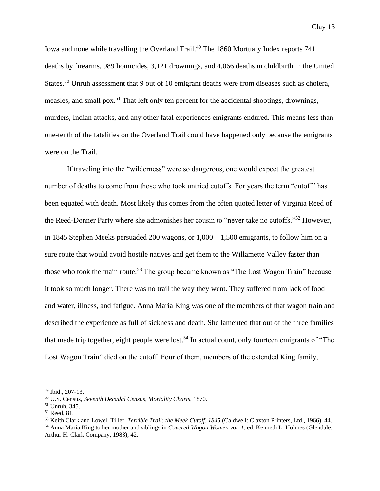Iowa and none while travelling the Overland Trail.<sup>49</sup> The 1860 Mortuary Index reports 741 deaths by firearms, 989 homicides, 3,121 drownings, and 4,066 deaths in childbirth in the United States.<sup>50</sup> Unruh assessment that 9 out of 10 emigrant deaths were from diseases such as cholera, measles, and small pox.<sup>51</sup> That left only ten percent for the accidental shootings, drownings, murders, Indian attacks, and any other fatal experiences emigrants endured. This means less than one-tenth of the fatalities on the Overland Trail could have happened only because the emigrants were on the Trail.

If traveling into the "wilderness" were so dangerous, one would expect the greatest number of deaths to come from those who took untried cutoffs. For years the term "cutoff" has been equated with death. Most likely this comes from the often quoted letter of Virginia Reed of the Reed-Donner Party where she admonishes her cousin to "never take no cutoffs."<sup>52</sup> However, in 1845 Stephen Meeks persuaded 200 wagons, or 1,000 – 1,500 emigrants, to follow him on a sure route that would avoid hostile natives and get them to the Willamette Valley faster than those who took the main route.<sup>53</sup> The group became known as "The Lost Wagon Train" because it took so much longer. There was no trail the way they went. They suffered from lack of food and water, illness, and fatigue. Anna Maria King was one of the members of that wagon train and described the experience as full of sickness and death. She lamented that out of the three families that made trip together, eight people were lost.<sup>54</sup> In actual count, only fourteen emigrants of "The Lost Wagon Train" died on the cutoff. Four of them, members of the extended King family,

 $49$  Ibid., 207-13.

<sup>50</sup> U.S. Census, *Seventh Decadal Census, Mortality Charts*, 1870.

<sup>51</sup> Unruh, 345.

<sup>52</sup> Reed, 81.

<sup>53</sup> Keith Clark and Lowell Tiller, *Terrible Trail: the Meek Cutoff, 1845* (Caldwell: Claxton Printers, Ltd., 1966), 44.

<sup>54</sup> Anna Maria King to her mother and siblings in *Covered Wagon Women vol. 1*, ed. Kenneth L. Holmes (Glendale: Arthur H. Clark Company, 1983), 42.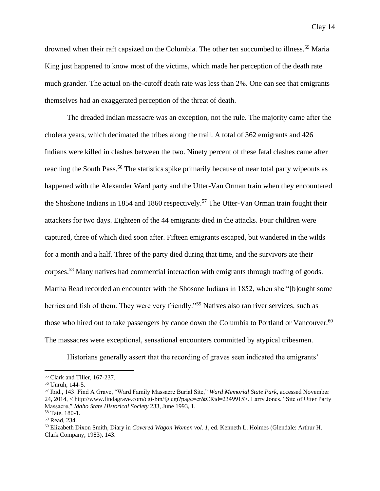drowned when their raft capsized on the Columbia. The other ten succumbed to illness.<sup>55</sup> Maria King just happened to know most of the victims, which made her perception of the death rate much grander. The actual on-the-cutoff death rate was less than 2%. One can see that emigrants themselves had an exaggerated perception of the threat of death.

The dreaded Indian massacre was an exception, not the rule. The majority came after the cholera years, which decimated the tribes along the trail. A total of 362 emigrants and 426 Indians were killed in clashes between the two. Ninety percent of these fatal clashes came after reaching the South Pass.<sup>56</sup> The statistics spike primarily because of near total party wipeouts as happened with the Alexander Ward party and the Utter-Van Orman train when they encountered the Shoshone Indians in 1854 and 1860 respectively.<sup>57</sup> The Utter-Van Orman train fought their attackers for two days. Eighteen of the 44 emigrants died in the attacks. Four children were captured, three of which died soon after. Fifteen emigrants escaped, but wandered in the wilds for a month and a half. Three of the party died during that time, and the survivors ate their corpses.<sup>58</sup> Many natives had commercial interaction with emigrants through trading of goods. Martha Read recorded an encounter with the Shosone Indians in 1852, when she "[b]ought some berries and fish of them. They were very friendly."<sup>59</sup> Natives also ran river services, such as those who hired out to take passengers by canoe down the Columbia to Portland or Vancouver.<sup>60</sup> The massacres were exceptional, sensational encounters committed by atypical tribesmen.

Historians generally assert that the recording of graves seen indicated the emigrants'

<sup>55</sup> Clark and Tiller, 167-237.

<sup>56</sup> Unruh, 144-5.

<sup>57</sup> Ibid., 143. Find A Grave, "Ward Family Massacre Burial Site," *Ward Memorial State Park*, accessed November 24, 2014, < http://www.findagrave.com/cgi-bin/fg.cgi?page=cr&CRid=2349915>. Larry Jones, "Site of Utter Party Massacre," *Idaho State Historical Society* 233, June 1993, 1.

<sup>58</sup> Tate, 180-1.

<sup>59</sup> Read, 234.

<sup>60</sup> Elizabeth Dixon Smith, Diary in *Covered Wagon Women vol. 1*, ed. Kenneth L. Holmes (Glendale: Arthur H. Clark Company, 1983), 143.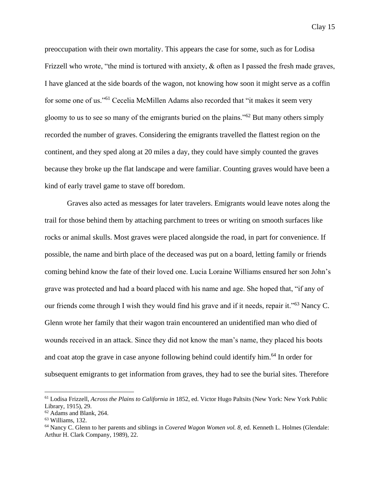preoccupation with their own mortality. This appears the case for some, such as for Lodisa Frizzell who wrote, "the mind is tortured with anxiety, & often as I passed the fresh made graves, I have glanced at the side boards of the wagon, not knowing how soon it might serve as a coffin for some one of us."<sup>61</sup> Cecelia McMillen Adams also recorded that "it makes it seem very gloomy to us to see so many of the emigrants buried on the plains."<sup>62</sup> But many others simply recorded the number of graves. Considering the emigrants travelled the flattest region on the continent, and they sped along at 20 miles a day, they could have simply counted the graves because they broke up the flat landscape and were familiar. Counting graves would have been a kind of early travel game to stave off boredom.

Graves also acted as messages for later travelers. Emigrants would leave notes along the trail for those behind them by attaching parchment to trees or writing on smooth surfaces like rocks or animal skulls. Most graves were placed alongside the road, in part for convenience. If possible, the name and birth place of the deceased was put on a board, letting family or friends coming behind know the fate of their loved one. Lucia Loraine Williams ensured her son John's grave was protected and had a board placed with his name and age. She hoped that, "if any of our friends come through I wish they would find his grave and if it needs, repair it."<sup>63</sup> Nancy C. Glenn wrote her family that their wagon train encountered an unidentified man who died of wounds received in an attack. Since they did not know the man's name, they placed his boots and coat atop the grave in case anyone following behind could identify him.<sup>64</sup> In order for subsequent emigrants to get information from graves, they had to see the burial sites. Therefore

<sup>61</sup> Lodisa Frizzell, *Across the Plains to California in* 1852, ed. Victor Hugo Paltsits (New York: New York Public Library, 1915), 29.

<sup>&</sup>lt;sup>62</sup> Adams and Blank, 264.

<sup>63</sup> Williams, 132.

<sup>64</sup> Nancy C. Glenn to her parents and siblings in *Covered Wagon Women vol. 8*, ed. Kenneth L. Holmes (Glendale: Arthur H. Clark Company, 1989), 22.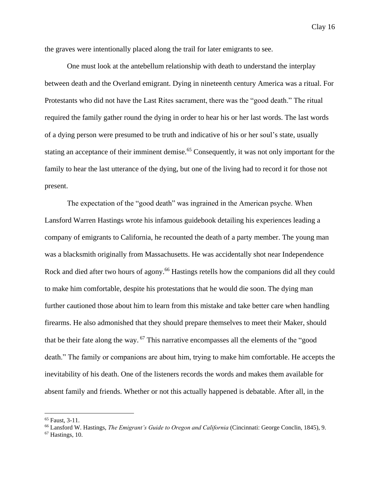the graves were intentionally placed along the trail for later emigrants to see.

One must look at the antebellum relationship with death to understand the interplay between death and the Overland emigrant. Dying in nineteenth century America was a ritual. For Protestants who did not have the Last Rites sacrament, there was the "good death." The ritual required the family gather round the dying in order to hear his or her last words. The last words of a dying person were presumed to be truth and indicative of his or her soul's state, usually stating an acceptance of their imminent demise.<sup>65</sup> Consequently, it was not only important for the family to hear the last utterance of the dying, but one of the living had to record it for those not present.

The expectation of the "good death" was ingrained in the American psyche. When Lansford Warren Hastings wrote his infamous guidebook detailing his experiences leading a company of emigrants to California, he recounted the death of a party member. The young man was a blacksmith originally from Massachusetts. He was accidentally shot near Independence Rock and died after two hours of agony.<sup>66</sup> Hastings retells how the companions did all they could to make him comfortable, despite his protestations that he would die soon. The dying man further cautioned those about him to learn from this mistake and take better care when handling firearms. He also admonished that they should prepare themselves to meet their Maker, should that be their fate along the way. <sup>67</sup> This narrative encompasses all the elements of the "good death." The family or companions are about him, trying to make him comfortable. He accepts the inevitability of his death. One of the listeners records the words and makes them available for absent family and friends. Whether or not this actually happened is debatable. After all, in the

<sup>65</sup> Faust, 3-11.

<sup>66</sup> Lansford W. Hastings, *The Emigrant's Guide to Oregon and California* (Cincinnati: George Conclin, 1845), 9.

<sup>67</sup> Hastings, 10.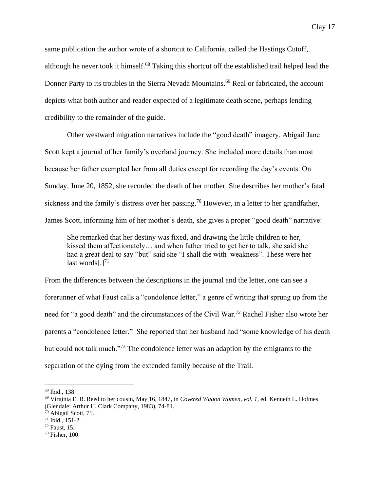same publication the author wrote of a shortcut to California, called the Hastings Cutoff, although he never took it himself.<sup>68</sup> Taking this shortcut off the established trail helped lead the Donner Party to its troubles in the Sierra Nevada Mountains.<sup>69</sup> Real or fabricated, the account depicts what both author and reader expected of a legitimate death scene, perhaps lending credibility to the remainder of the guide.

Other westward migration narratives include the "good death" imagery. Abigail Jane Scott kept a journal of her family's overland journey. She included more details than most because her father exempted her from all duties except for recording the day's events. On Sunday, June 20, 1852, she recorded the death of her mother. She describes her mother's fatal sickness and the family's distress over her passing.<sup>70</sup> However, in a letter to her grandfather, James Scott, informing him of her mother's death, she gives a proper "good death" narrative:

She remarked that her destiny was fixed, and drawing the little children to her, kissed them affectionately… and when father tried to get her to talk, she said she had a great deal to say "but" said she "I shall die with weakness". These were her last words $[.]^{71}$ 

From the differences between the descriptions in the journal and the letter, one can see a forerunner of what Faust calls a "condolence letter," a genre of writing that sprung up from the need for "a good death" and the circumstances of the Civil War.<sup>72</sup> Rachel Fisher also wrote her parents a "condolence letter." She reported that her husband had "some knowledge of his death but could not talk much."<sup>73</sup> The condolence letter was an adaption by the emigrants to the separation of the dying from the extended family because of the Trail.

<sup>68</sup> Ibid., 138.

<sup>69</sup> Virginia E. B. Reed to her cousin, May 16, 1847, in *Covered Wagon Women, vol. 1*, ed. Kenneth L. Holmes (Glendale: Arthur H. Clark Company, 1983), 74-81.

<sup>70</sup> Abigail Scott, 71.

 $71$  Ibid.,  $151-2$ .

<sup>72</sup> Faust, 15.

<sup>73</sup> Fisher, 100.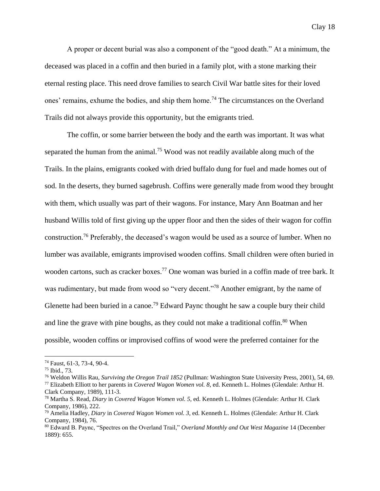A proper or decent burial was also a component of the "good death." At a minimum, the deceased was placed in a coffin and then buried in a family plot, with a stone marking their eternal resting place. This need drove families to search Civil War battle sites for their loved ones' remains, exhume the bodies, and ship them home.<sup>74</sup> The circumstances on the Overland Trails did not always provide this opportunity, but the emigrants tried.

The coffin, or some barrier between the body and the earth was important. It was what separated the human from the animal.<sup>75</sup> Wood was not readily available along much of the Trails. In the plains, emigrants cooked with dried buffalo dung for fuel and made homes out of sod. In the deserts, they burned sagebrush. Coffins were generally made from wood they brought with them, which usually was part of their wagons. For instance, Mary Ann Boatman and her husband Willis told of first giving up the upper floor and then the sides of their wagon for coffin construction.<sup>76</sup> Preferably, the deceased's wagon would be used as a source of lumber. When no lumber was available, emigrants improvised wooden coffins. Small children were often buried in wooden cartons, such as cracker boxes. <sup>77</sup> One woman was buried in a coffin made of tree bark. It was rudimentary, but made from wood so "very decent."<sup>78</sup> Another emigrant, by the name of Glenette had been buried in a canoe.<sup>79</sup> Edward Paync thought he saw a couple bury their child and line the grave with pine boughs, as they could not make a traditional coffin.<sup>80</sup> When possible, wooden coffins or improvised coffins of wood were the preferred container for the

<sup>74</sup> Faust, 61-3, 73-4, 90-4.

<sup>75</sup> Ibid., 73.

<sup>76</sup> Weldon Willis Rau, *Surviving the Oregon Trail 1852* (Pullman: Washington State University Press, 2001), 54, 69.

<sup>77</sup> Elizabeth Elliott to her parents in *Covered Wagon Women vol. 8*, ed. Kenneth L. Holmes (Glendale: Arthur H. Clark Company, 1989), 111-3.

<sup>78</sup> Martha S. Read, *Diary* in *Covered Wagon Women vol. 5*, ed. Kenneth L. Holmes (Glendale: Arthur H. Clark Company, 1986), 222.

<sup>79</sup> Amelia Hadley, *Diary* in *Covered Wagon Women vol. 3*, ed. Kenneth L. Holmes (Glendale: Arthur H. Clark Company, 1984), 76.

<sup>80</sup> Edward B. Paync, "Spectres on the Overland Trail," *Overland Monthly and Out West Magazine* 14 (December 1889): 655.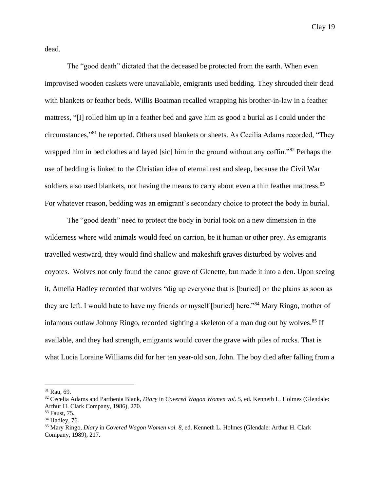dead.

The "good death" dictated that the deceased be protected from the earth. When even improvised wooden caskets were unavailable, emigrants used bedding. They shrouded their dead with blankets or feather beds. Willis Boatman recalled wrapping his brother-in-law in a feather mattress, "[I] rolled him up in a feather bed and gave him as good a burial as I could under the circumstances," <sup>81</sup> he reported. Others used blankets or sheets. As Cecilia Adams recorded, "They wrapped him in bed clothes and layed [sic] him in the ground without any coffin."<sup>82</sup> Perhaps the use of bedding is linked to the Christian idea of eternal rest and sleep, because the Civil War soldiers also used blankets, not having the means to carry about even a thin feather mattress.<sup>83</sup> For whatever reason, bedding was an emigrant's secondary choice to protect the body in burial.

The "good death" need to protect the body in burial took on a new dimension in the wilderness where wild animals would feed on carrion, be it human or other prey. As emigrants travelled westward, they would find shallow and makeshift graves disturbed by wolves and coyotes. Wolves not only found the canoe grave of Glenette, but made it into a den. Upon seeing it, Amelia Hadley recorded that wolves "dig up everyone that is [buried] on the plains as soon as they are left. I would hate to have my friends or myself [buried] here."<sup>84</sup> Mary Ringo, mother of infamous outlaw Johnny Ringo, recorded sighting a skeleton of a man dug out by wolves.<sup>85</sup> If available, and they had strength, emigrants would cover the grave with piles of rocks. That is what Lucia Loraine Williams did for her ten year-old son, John. The boy died after falling from a

 $81$  Rau, 69.

<sup>82</sup> Cecelia Adams and Parthenia Blank, *Diary* in *Covered Wagon Women vol. 5*, ed. Kenneth L. Holmes (Glendale: Arthur H. Clark Company, 1986), 270.

<sup>83</sup> Faust, 75.

<sup>84</sup> Hadley, 76.

<sup>85</sup> Mary Ringo, *Diary* in *Covered Wagon Women vol. 8*, ed. Kenneth L. Holmes (Glendale: Arthur H. Clark Company, 1989), 217.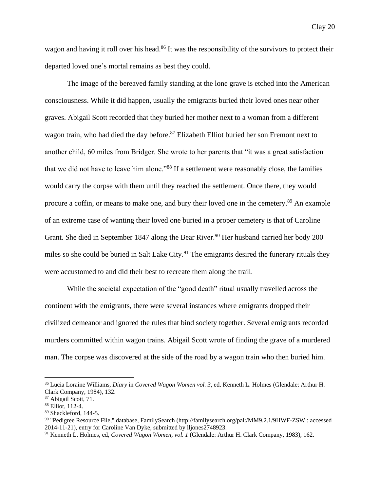wagon and having it roll over his head.<sup>86</sup> It was the responsibility of the survivors to protect their departed loved one's mortal remains as best they could.

The image of the bereaved family standing at the lone grave is etched into the American consciousness. While it did happen, usually the emigrants buried their loved ones near other graves. Abigail Scott recorded that they buried her mother next to a woman from a different wagon train, who had died the day before.<sup>87</sup> Elizabeth Elliot buried her son Fremont next to another child, 60 miles from Bridger. She wrote to her parents that "it was a great satisfaction that we did not have to leave him alone."<sup>88</sup> If a settlement were reasonably close, the families would carry the corpse with them until they reached the settlement. Once there, they would procure a coffin, or means to make one, and bury their loved one in the cemetery.<sup>89</sup> An example of an extreme case of wanting their loved one buried in a proper cemetery is that of Caroline Grant. She died in September 1847 along the Bear River.<sup>90</sup> Her husband carried her body 200 miles so she could be buried in Salt Lake City.<sup>91</sup> The emigrants desired the funerary rituals they were accustomed to and did their best to recreate them along the trail.

While the societal expectation of the "good death" ritual usually travelled across the continent with the emigrants, there were several instances where emigrants dropped their civilized demeanor and ignored the rules that bind society together. Several emigrants recorded murders committed within wagon trains. Abigail Scott wrote of finding the grave of a murdered man. The corpse was discovered at the side of the road by a wagon train who then buried him.

<sup>86</sup> Lucia Loraine Williams, *Diary* in *Covered Wagon Women vol. 3*, ed. Kenneth L. Holmes (Glendale: Arthur H. Clark Company, 1984), 132.

<sup>87</sup> Abigail Scott, 71.

<sup>88</sup> Elliot, 112-4.

<sup>89</sup> Shackleford, 144-5.

<sup>90</sup> "Pedigree Resource File," database, FamilySearch (http://familysearch.org/pal:/MM9.2.1/9HWF-ZSW : accessed 2014-11-21), entry for Caroline Van Dyke, submitted by lljones2748923.

<sup>91</sup> Kenneth L. Holmes, ed, *Covered Wagon Women, vol. 1* (Glendale: Arthur H. Clark Company, 1983), 162.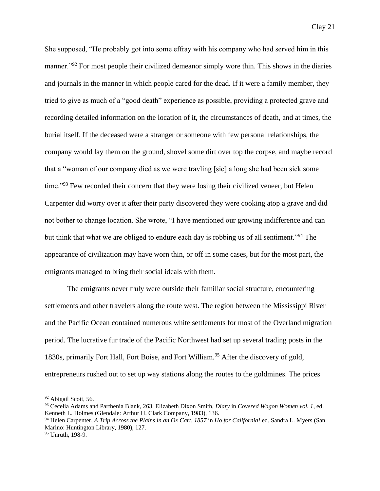She supposed, "He probably got into some effray with his company who had served him in this manner."<sup>92</sup> For most people their civilized demeanor simply wore thin. This shows in the diaries and journals in the manner in which people cared for the dead. If it were a family member, they tried to give as much of a "good death" experience as possible, providing a protected grave and recording detailed information on the location of it, the circumstances of death, and at times, the burial itself. If the deceased were a stranger or someone with few personal relationships, the company would lay them on the ground, shovel some dirt over top the corpse, and maybe record that a "woman of our company died as we were travling [sic] a long she had been sick some time."<sup>93</sup> Few recorded their concern that they were losing their civilized veneer, but Helen Carpenter did worry over it after their party discovered they were cooking atop a grave and did not bother to change location. She wrote, "I have mentioned our growing indifference and can but think that what we are obliged to endure each day is robbing us of all sentiment."<sup>94</sup> The appearance of civilization may have worn thin, or off in some cases, but for the most part, the emigrants managed to bring their social ideals with them.

The emigrants never truly were outside their familiar social structure, encountering settlements and other travelers along the route west. The region between the Mississippi River and the Pacific Ocean contained numerous white settlements for most of the Overland migration period. The lucrative fur trade of the Pacific Northwest had set up several trading posts in the 1830s, primarily Fort Hall, Fort Boise, and Fort William.<sup>95</sup> After the discovery of gold, entrepreneurs rushed out to set up way stations along the routes to the goldmines. The prices

<sup>92</sup> Abigail Scott, 56.

<sup>93</sup> Cecelia Adams and Parthenia Blank, 263. Elizabeth Dixon Smith, *Diary* in *Covered Wagon Women vol. 1*, ed. Kenneth L. Holmes (Glendale: Arthur H. Clark Company, 1983), 136.

<sup>94</sup> Helen Carpenter, *A Trip Across the Plains in an Ox Cart, 1857* in *Ho for California!* ed. Sandra L. Myers (San Marino: Huntington Library, 1980), 127.

<sup>95</sup> Unruth, 198-9.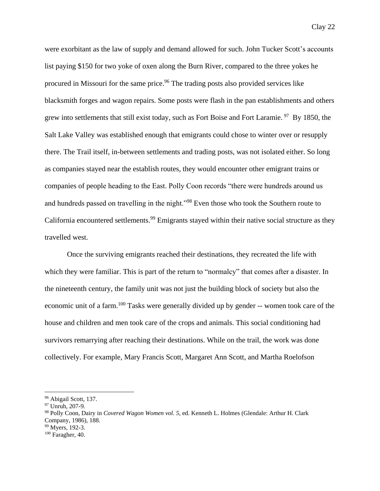were exorbitant as the law of supply and demand allowed for such. John Tucker Scott's accounts list paying \$150 for two yoke of oxen along the Burn River, compared to the three yokes he procured in Missouri for the same price.<sup>96</sup> The trading posts also provided services like blacksmith forges and wagon repairs. Some posts were flash in the pan establishments and others grew into settlements that still exist today, such as Fort Boise and Fort Laramie.<sup>97</sup> By 1850, the Salt Lake Valley was established enough that emigrants could chose to winter over or resupply there. The Trail itself, in-between settlements and trading posts, was not isolated either. So long as companies stayed near the establish routes, they would encounter other emigrant trains or companies of people heading to the East. Polly Coon records "there were hundreds around us and hundreds passed on travelling in the night."<sup>98</sup> Even those who took the Southern route to California encountered settlements.<sup>99</sup> Emigrants stayed within their native social structure as they travelled west.

Once the surviving emigrants reached their destinations, they recreated the life with which they were familiar. This is part of the return to "normalcy" that comes after a disaster. In the nineteenth century, the family unit was not just the building block of society but also the economic unit of a farm.<sup>100</sup> Tasks were generally divided up by gender -- women took care of the house and children and men took care of the crops and animals. This social conditioning had survivors remarrying after reaching their destinations. While on the trail, the work was done collectively. For example, Mary Francis Scott, Margaret Ann Scott, and Martha Roelofson

 $\overline{\phantom{a}}$ 

<sup>99</sup> Myers, 192-3.

<sup>&</sup>lt;sup>96</sup> Abigail Scott, 137.

<sup>97</sup> Unruh, 207-9.

<sup>98</sup> Polly Coon, Dairy in *Covered Wagon Women vol. 5*, ed. Kenneth L. Holmes (Glendale: Arthur H. Clark Company, 1986), 188.

 $100$  Faragher, 40.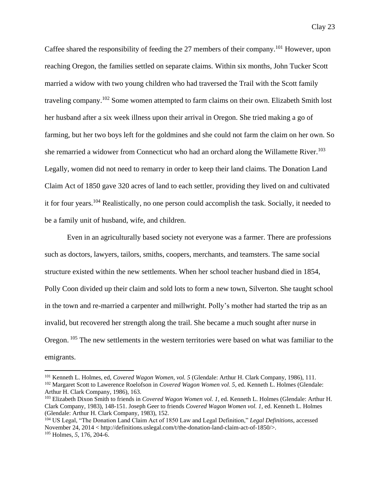Caffee shared the responsibility of feeding the 27 members of their company.<sup>101</sup> However, upon reaching Oregon, the families settled on separate claims. Within six months, John Tucker Scott married a widow with two young children who had traversed the Trail with the Scott family traveling company.<sup>102</sup> Some women attempted to farm claims on their own. Elizabeth Smith lost her husband after a six week illness upon their arrival in Oregon. She tried making a go of farming, but her two boys left for the goldmines and she could not farm the claim on her own. So she remarried a widower from Connecticut who had an orchard along the Willamette River.<sup>103</sup> Legally, women did not need to remarry in order to keep their land claims. The Donation Land Claim Act of 1850 gave 320 acres of land to each settler, providing they lived on and cultivated it for four years.<sup>104</sup> Realistically, no one person could accomplish the task. Socially, it needed to be a family unit of husband, wife, and children.

Even in an agriculturally based society not everyone was a farmer. There are professions such as doctors, lawyers, tailors, smiths, coopers, merchants, and teamsters. The same social structure existed within the new settlements. When her school teacher husband died in 1854, Polly Coon divided up their claim and sold lots to form a new town, Silverton. She taught school in the town and re-married a carpenter and millwright. Polly's mother had started the trip as an invalid, but recovered her strength along the trail. She became a much sought after nurse in Oregon. <sup>105</sup> The new settlements in the western territories were based on what was familiar to the emigrants.

<sup>101</sup> Kenneth L. Holmes, ed, *Covered Wagon Women, vol. 5* (Glendale: Arthur H. Clark Company, 1986), 111.

<sup>102</sup> Margaret Scott to Lawerence Roelofson in *Covered Wagon Women vol. 5*, ed. Kenneth L. Holmes (Glendale: Arthur H. Clark Company, 1986), 163.

<sup>103</sup> Elizabeth Dixon Smith to friends in *Covered Wagon Women vol. 1*, ed. Kenneth L. Holmes (Glendale: Arthur H. Clark Company, 1983), 148-151. Joseph Geer to friends *Covered Wagon Women vol. 1*, ed. Kenneth L. Holmes (Glendale: Arthur H. Clark Company, 1983), 152.

<sup>104</sup> US Legal, "The Donation Land Claim Act of 1850 Law and Legal Definition," *Legal Definitions*, accessed November 24, 2014 < http://definitions.uslegal.com/t/the-donation-land-claim-act-of-1850/>. <sup>105</sup> Holmes, *5*, 176, 204-6.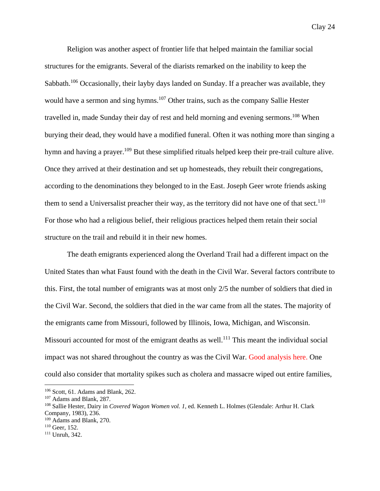Religion was another aspect of frontier life that helped maintain the familiar social structures for the emigrants. Several of the diarists remarked on the inability to keep the Sabbath.<sup>106</sup> Occasionally, their layby days landed on Sunday. If a preacher was available, they would have a sermon and sing hymns.<sup>107</sup> Other trains, such as the company Sallie Hester travelled in, made Sunday their day of rest and held morning and evening sermons.<sup>108</sup> When burying their dead, they would have a modified funeral. Often it was nothing more than singing a hymn and having a prayer.<sup>109</sup> But these simplified rituals helped keep their pre-trail culture alive. Once they arrived at their destination and set up homesteads, they rebuilt their congregations, according to the denominations they belonged to in the East. Joseph Geer wrote friends asking them to send a Universalist preacher their way, as the territory did not have one of that sect.<sup>110</sup> For those who had a religious belief, their religious practices helped them retain their social structure on the trail and rebuild it in their new homes.

The death emigrants experienced along the Overland Trail had a different impact on the United States than what Faust found with the death in the Civil War. Several factors contribute to this. First, the total number of emigrants was at most only 2/5 the number of soldiers that died in the Civil War. Second, the soldiers that died in the war came from all the states. The majority of the emigrants came from Missouri, followed by Illinois, Iowa, Michigan, and Wisconsin. Missouri accounted for most of the emigrant deaths as well.<sup>111</sup> This meant the individual social impact was not shared throughout the country as was the Civil War. Good analysis here. One could also consider that mortality spikes such as cholera and massacre wiped out entire families,

<sup>106</sup> Scott, 61. Adams and Blank, 262.

<sup>107</sup> Adams and Blank, 287.

<sup>108</sup> Sallie Hester, Dairy in *Covered Wagon Women vol. 1*, ed. Kenneth L. Holmes (Glendale: Arthur H. Clark Company, 1983), 236.

<sup>109</sup> Adams and Blank, 270.

<sup>110</sup> Geer, 152.

<sup>111</sup> Unruh, 342.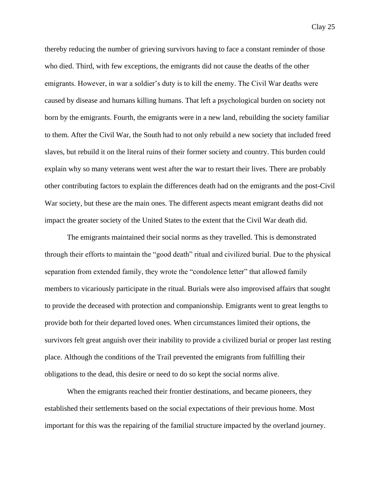thereby reducing the number of grieving survivors having to face a constant reminder of those who died. Third, with few exceptions, the emigrants did not cause the deaths of the other emigrants. However, in war a soldier's duty is to kill the enemy. The Civil War deaths were caused by disease and humans killing humans. That left a psychological burden on society not born by the emigrants. Fourth, the emigrants were in a new land, rebuilding the society familiar to them. After the Civil War, the South had to not only rebuild a new society that included freed slaves, but rebuild it on the literal ruins of their former society and country. This burden could explain why so many veterans went west after the war to restart their lives. There are probably other contributing factors to explain the differences death had on the emigrants and the post-Civil War society, but these are the main ones. The different aspects meant emigrant deaths did not impact the greater society of the United States to the extent that the Civil War death did.

The emigrants maintained their social norms as they travelled. This is demonstrated through their efforts to maintain the "good death" ritual and civilized burial. Due to the physical separation from extended family, they wrote the "condolence letter" that allowed family members to vicariously participate in the ritual. Burials were also improvised affairs that sought to provide the deceased with protection and companionship. Emigrants went to great lengths to provide both for their departed loved ones. When circumstances limited their options, the survivors felt great anguish over their inability to provide a civilized burial or proper last resting place. Although the conditions of the Trail prevented the emigrants from fulfilling their obligations to the dead, this desire or need to do so kept the social norms alive.

When the emigrants reached their frontier destinations, and became pioneers, they established their settlements based on the social expectations of their previous home. Most important for this was the repairing of the familial structure impacted by the overland journey.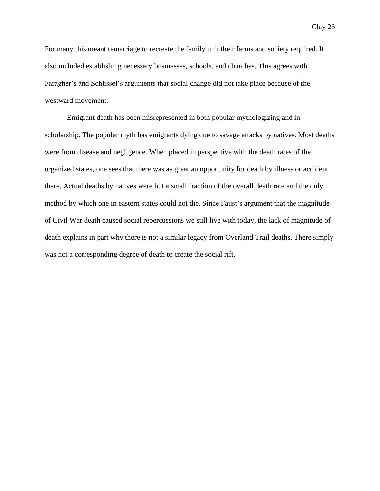For many this meant remarriage to recreate the family unit their farms and society required. It also included establishing necessary businesses, schools, and churches. This agrees with Faragher's and Schlissel's arguments that social change did not take place because of the westward movement.

Emigrant death has been misrepresented in both popular mythologizing and in scholarship. The popular myth has emigrants dying due to savage attacks by natives. Most deaths were from disease and negligence. When placed in perspective with the death rates of the organized states, one sees that there was as great an opportunity for death by illness or accident there. Actual deaths by natives were but a small fraction of the overall death rate and the only method by which one in eastern states could not die. Since Faust's argument that the magnitude of Civil War death caused social repercussions we still live with today, the lack of magnitude of death explains in part why there is not a similar legacy from Overland Trail deaths. There simply was not a corresponding degree of death to create the social rift.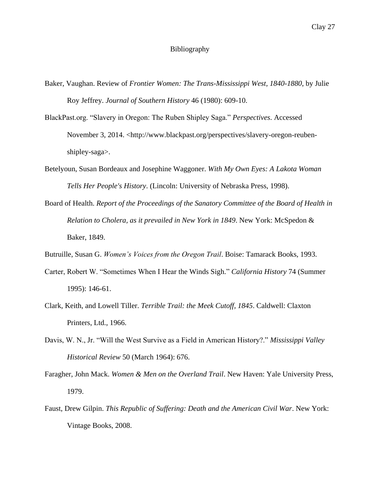## Bibliography

- Baker, Vaughan. Review of *Frontier Women: The Trans-Mississippi West, 1840-1880*, by Julie Roy Jeffrey. *Journal of Southern History* 46 (1980): 609-10.
- BlackPast.org. "Slavery in Oregon: The Ruben Shipley Saga." *Perspectives*. Accessed November 3, 2014. <http://www.blackpast.org/perspectives/slavery-oregon-reubenshipley-saga>.
- Betelyoun, Susan Bordeaux and Josephine Waggoner. *With My Own Eyes: A Lakota Woman Tells Her People's History*. (Lincoln: University of Nebraska Press, 1998).
- Board of Health. *Report of the Proceedings of the Sanatory Committee of the Board of Health in Relation to Cholera, as it prevailed in New York in 1849*. New York: McSpedon & Baker, 1849.
- Butruille, Susan G. *Women's Voices from the Oregon Trail*. Boise: Tamarack Books, 1993.
- Carter, Robert W. "Sometimes When I Hear the Winds Sigh." *California History* 74 (Summer 1995): 146-61.
- Clark, Keith, and Lowell Tiller. *Terrible Trail: the Meek Cutoff, 1845*. Caldwell: Claxton Printers, Ltd., 1966.
- Davis, W. N., Jr. "Will the West Survive as a Field in American History?." *Mississippi Valley Historical Review* 50 (March 1964): 676.
- Faragher, John Mack. *Women & Men on the Overland Trail*. New Haven: Yale University Press, 1979.
- Faust, Drew Gilpin. *This Republic of Suffering: Death and the American Civil War*. New York: Vintage Books, 2008.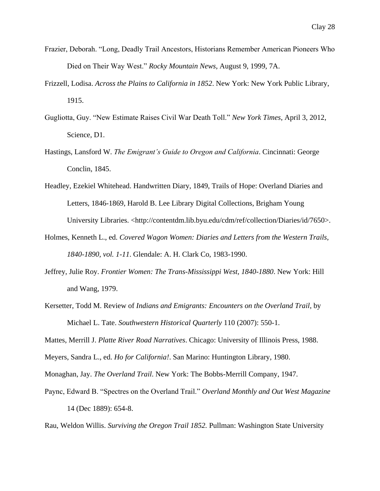- Frazier, Deborah. "Long, Deadly Trail Ancestors, Historians Remember American Pioneers Who Died on Their Way West." *Rocky Mountain News*, August 9, 1999, 7A.
- Frizzell, Lodisa. *Across the Plains to California in 1852*. New York: New York Public Library, 1915.
- Gugliotta, Guy. "New Estimate Raises Civil War Death Toll." *New York Times*, April 3, 2012, Science, D1.
- Hastings, Lansford W. *The Emigrant's Guide to Oregon and California*. Cincinnati: George Conclin, 1845.
- Headley, Ezekiel Whitehead. Handwritten Diary, 1849, Trails of Hope: Overland Diaries and Letters, 1846-1869, Harold B. Lee Library Digital Collections, Brigham Young University Libraries. <http://contentdm.lib.byu.edu/cdm/ref/collection/Diaries/id/7650>.
- Holmes, Kenneth L., ed. *Covered Wagon Women: Diaries and Letters from the Western Trails, 1840-1890, vol. 1-11*. Glendale: A. H. Clark Co, 1983-1990.
- Jeffrey, Julie Roy. *Frontier Women: The Trans-Mississippi West, 1840-1880*. New York: Hill and Wang, 1979.
- Kersetter, Todd M. Review of *Indians and Emigrants: Encounters on the Overland Trail*, by Michael L. Tate. *Southwestern Historical Quarterly* 110 (2007): 550-1.

Mattes, Merrill J. *Platte River Road Narratives*. Chicago: University of Illinois Press, 1988.

Meyers, Sandra L., ed. *Ho for California!*. San Marino: Huntington Library, 1980.

Monaghan, Jay. *The Overland Trail*. New York: The Bobbs-Merrill Company, 1947.

Paync, Edward B. "Spectres on the Overland Trail." *Overland Monthly and Out West Magazine*  14 (Dec 1889): 654-8.

Rau, Weldon Willis. *Surviving the Oregon Trail 1852.* Pullman: Washington State University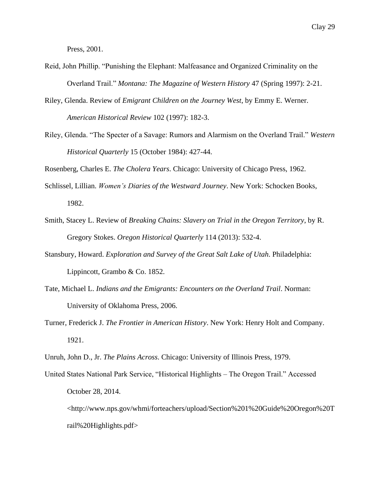Press, 2001.

- Reid, John Phillip. "Punishing the Elephant: Malfeasance and Organized Criminality on the Overland Trail." *Montana: The Magazine of Western History* 47 (Spring 1997): 2-21.
- Riley, Glenda. Review of *Emigrant Children on the Journey West*, by Emmy E. Werner. *American Historical Review* 102 (1997): 182-3.
- Riley, Glenda. "The Specter of a Savage: Rumors and Alarmism on the Overland Trail." *Western Historical Quarterly* 15 (October 1984): 427-44.

Rosenberg, Charles E. *The Cholera Years*. Chicago: University of Chicago Press, 1962.

- Schlissel, Lillian. *Women's Diaries of the Westward Journey*. New York: Schocken Books, 1982.
- Smith, Stacey L. Review of *Breaking Chains: Slavery on Trial in the Oregon Territory*, by R. Gregory Stokes. *Oregon Historical Quarterly* 114 (2013): 532-4.
- Stansbury, Howard. *Exploration and Survey of the Great Salt Lake of Utah*. Philadelphia: Lippincott, Grambo & Co. 1852.
- Tate, Michael L. *Indians and the Emigrants: Encounters on the Overland Trail*. Norman: University of Oklahoma Press, 2006.
- Turner, Frederick J. *The Frontier in American History*. New York: Henry Holt and Company. 1921.
- Unruh, John D., Jr. *The Plains Across*. Chicago: University of Illinois Press, 1979.
- United States National Park Service, "Historical Highlights The Oregon Trail." Accessed October 28, 2014.

<http://www.nps.gov/whmi/forteachers/upload/Section%201%20Guide%20Oregon%20T rail%20Highlights.pdf>